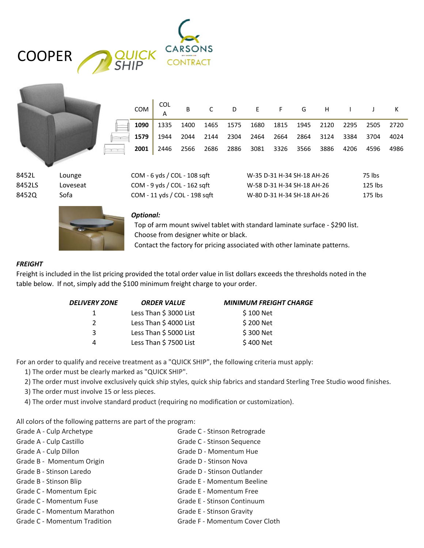| <b>QUICK</b><br>SHIP | <b>CARSONS</b> |
|----------------------|----------------|
| <b>COOPER</b>        | CONTRACT       |

|  | 1090 1335 1400 1465 1575 1680 1815 1945 2120 2295 2505 2720 |  |  |  |  |  |
|--|-------------------------------------------------------------|--|--|--|--|--|
|  | 1579 1944 2044 2144 2304 2464 2664 2864 3124 3384 3704 4024 |  |  |  |  |  |
|  | 2001 2446 2566 2686 2886 3081 3326 3566 3886 4206 4596 4986 |  |  |  |  |  |

8452L Lounge COM - 6 yds / COL - 108 sqft W-35 D-31 H-34 SH-18 AH-26 75 lbs 8452LS Loveseat COM - 9 yds / COL - 162 sqft W-58 D-31 H-34 SH-18 AH-26 125 lbs 8452Q Sofa COM - 11 yds / COL - 198 sqft W-80 D-31 H-34 SH-18 AH-26 175 lbs

















## *Optional:*

 Top of arm mount swivel tablet with standard laminate surface - \$290 list. Choose from designer white or black. Contact the factory for pricing associated with other laminate patterns.

## *FREIGHT*

Freight is included in the list pricing provided the total order value in list dollars exceeds the thresholds noted in the table below. If not, simply add the \$100 minimum freight charge to your order.

| <b>DELIVERY ZONE</b> | <b>ORDER VALUE</b>     | <b>MINIMUM FREIGHT CHARGE</b> |
|----------------------|------------------------|-------------------------------|
| 1                    | Less Than \$ 3000 List | \$100 Net                     |
| $\mathcal{P}$        | Less Than \$4000 List  | \$200 Net                     |
| 3                    | Less Than \$5000 List  | \$300 Net                     |
| 4                    | Less Than \$7500 List  | \$400 Net                     |
|                      |                        |                               |

For an order to qualify and receive treatment as a "QUICK SHIP", the following criteria must apply:

1) The order must be clearly marked as "QUICK SHIP".

2) The order must involve exclusively quick ship styles, quick ship fabrics and standard Sterling Tree Studio wood finishes.

3) The order must involve 15 or less pieces.

4) The order must involve standard product (requiring no modification or customization).

All colors of the following patterns are part of the program:

| Grade A - Culp Archetype            | Grade C - Stinson Retrograde   |
|-------------------------------------|--------------------------------|
| Grade A - Culp Castillo             | Grade C - Stinson Sequence     |
| Grade A - Culp Dillon               | Grade D - Momentum Hue         |
| Grade B - Momentum Origin           | Grade D - Stinson Nova         |
| Grade B - Stinson Laredo            | Grade D - Stinson Outlander    |
| Grade B - Stinson Blip              | Grade E - Momentum Beeline     |
| Grade C - Momentum Epic             | Grade E - Momentum Free        |
| Grade C - Momentum Fuse             | Grade E - Stinson Continuum    |
| Grade C - Momentum Marathon         | Grade E - Stinson Gravity      |
| <b>Grade C - Momentum Tradition</b> | Grade F - Momentum Cover Cloth |
|                                     |                                |